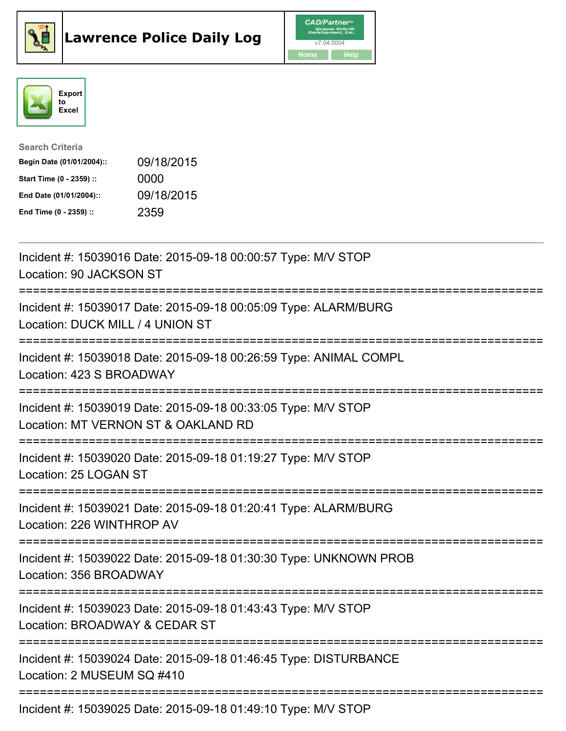





| <b>Search Criteria</b>    |            |
|---------------------------|------------|
| Begin Date (01/01/2004):: | 09/18/2015 |
| Start Time (0 - 2359) ::  | 0000       |
| End Date (01/01/2004)::   | 09/18/2015 |
| End Time (0 - 2359) ::    | 2359       |

| Incident #: 15039016 Date: 2015-09-18 00:00:57 Type: M/V STOP<br>Location: 90 JACKSON ST                                      |
|-------------------------------------------------------------------------------------------------------------------------------|
| Incident #: 15039017 Date: 2015-09-18 00:05:09 Type: ALARM/BURG<br>Location: DUCK MILL / 4 UNION ST                           |
| Incident #: 15039018 Date: 2015-09-18 00:26:59 Type: ANIMAL COMPL<br>Location: 423 S BROADWAY                                 |
| Incident #: 15039019 Date: 2015-09-18 00:33:05 Type: M/V STOP<br>Location: MT VERNON ST & OAKLAND RD                          |
| Incident #: 15039020 Date: 2015-09-18 01:19:27 Type: M/V STOP<br>Location: 25 LOGAN ST                                        |
| Incident #: 15039021 Date: 2015-09-18 01:20:41 Type: ALARM/BURG<br>Location: 226 WINTHROP AV                                  |
| Incident #: 15039022 Date: 2015-09-18 01:30:30 Type: UNKNOWN PROB<br>Location: 356 BROADWAY                                   |
| Incident #: 15039023 Date: 2015-09-18 01:43:43 Type: M/V STOP<br>Location: BROADWAY & CEDAR ST                                |
| :==========================<br>Incident #: 15039024 Date: 2015-09-18 01:46:45 Type: DISTURBANCE<br>Location: 2 MUSEUM SQ #410 |
| Incident #: 15039025 Date: 2015-09-18 01:49:10 Type: M/V STOP                                                                 |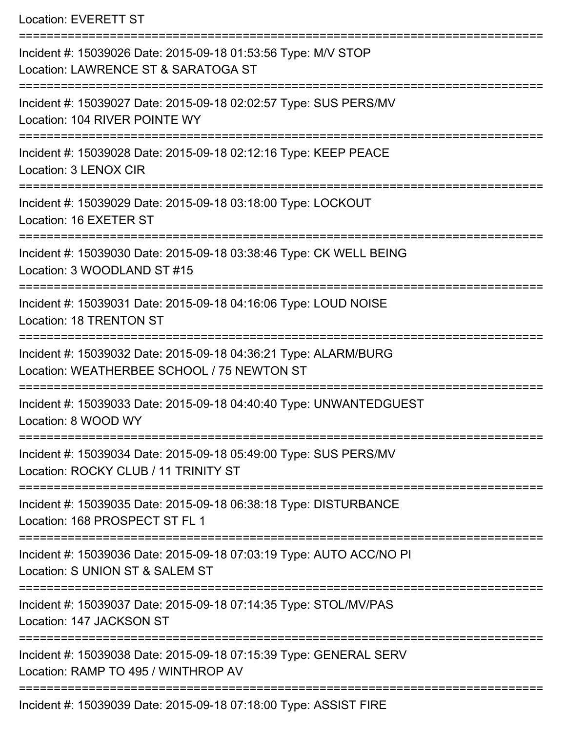Location: EVERETT ST

=========================================================================== Incident #: 15039026 Date: 2015-09-18 01:53:56 Type: M/V STOP Location: LAWRENCE ST & SARATOGA ST =========================================================================== Incident #: 15039027 Date: 2015-09-18 02:02:57 Type: SUS PERS/MV Location: 104 RIVER POINTE WY =========================================================================== Incident #: 15039028 Date: 2015-09-18 02:12:16 Type: KEEP PEACE Location: 3 LENOX CIR =========================================================================== Incident #: 15039029 Date: 2015-09-18 03:18:00 Type: LOCKOUT Location: 16 EXETER ST ======================= Incident #: 15039030 Date: 2015-09-18 03:38:46 Type: CK WELL BEING Location: 3 WOODLAND ST #15 =========================================================================== Incident #: 15039031 Date: 2015-09-18 04:16:06 Type: LOUD NOISE Location: 18 TRENTON ST =========================================================================== Incident #: 15039032 Date: 2015-09-18 04:36:21 Type: ALARM/BURG Location: WEATHERBEE SCHOOL / 75 NEWTON ST =========================================================================== Incident #: 15039033 Date: 2015-09-18 04:40:40 Type: UNWANTEDGUEST Location: 8 WOOD WY =========================================================================== Incident #: 15039034 Date: 2015-09-18 05:49:00 Type: SUS PERS/MV Location: ROCKY CLUB / 11 TRINITY ST =========================================================================== Incident #: 15039035 Date: 2015-09-18 06:38:18 Type: DISTURBANCE Location: 168 PROSPECT ST FL 1 =========================================================================== Incident #: 15039036 Date: 2015-09-18 07:03:19 Type: AUTO ACC/NO PI Location: S UNION ST & SALEM ST =========================================================================== Incident #: 15039037 Date: 2015-09-18 07:14:35 Type: STOL/MV/PAS Location: 147 JACKSON ST =========================================================================== Incident #: 15039038 Date: 2015-09-18 07:15:39 Type: GENERAL SERV Location: RAMP TO 495 / WINTHROP AV =========================================================================== Incident #: 15039039 Date: 2015-09-18 07:18:00 Type: ASSIST FIRE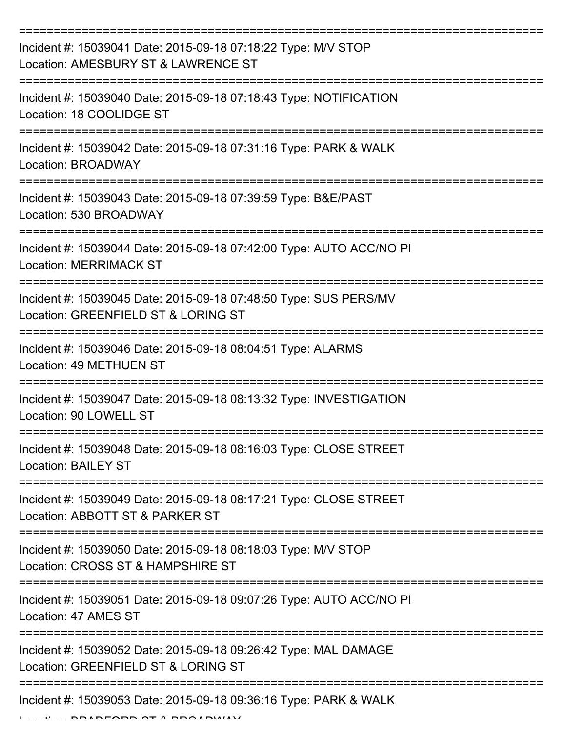| Incident #: 15039041 Date: 2015-09-18 07:18:22 Type: M/V STOP<br>Location: AMESBURY ST & LAWRENCE ST    |
|---------------------------------------------------------------------------------------------------------|
| Incident #: 15039040 Date: 2015-09-18 07:18:43 Type: NOTIFICATION<br>Location: 18 COOLIDGE ST           |
| Incident #: 15039042 Date: 2015-09-18 07:31:16 Type: PARK & WALK<br><b>Location: BROADWAY</b>           |
| Incident #: 15039043 Date: 2015-09-18 07:39:59 Type: B&E/PAST<br>Location: 530 BROADWAY                 |
| Incident #: 15039044 Date: 2015-09-18 07:42:00 Type: AUTO ACC/NO PI<br><b>Location: MERRIMACK ST</b>    |
| Incident #: 15039045 Date: 2015-09-18 07:48:50 Type: SUS PERS/MV<br>Location: GREENFIELD ST & LORING ST |
| Incident #: 15039046 Date: 2015-09-18 08:04:51 Type: ALARMS<br>Location: 49 METHUEN ST                  |
| Incident #: 15039047 Date: 2015-09-18 08:13:32 Type: INVESTIGATION<br>Location: 90 LOWELL ST            |
| Incident #: 15039048 Date: 2015-09-18 08:16:03 Type: CLOSE STREET<br><b>Location: BAILEY ST</b>         |
| Incident #: 15039049 Date: 2015-09-18 08:17:21 Type: CLOSE STREET<br>Location: ABBOTT ST & PARKER ST    |
| Incident #: 15039050 Date: 2015-09-18 08:18:03 Type: M/V STOP<br>Location: CROSS ST & HAMPSHIRE ST      |
| Incident #: 15039051 Date: 2015-09-18 09:07:26 Type: AUTO ACC/NO PI<br>Location: 47 AMES ST             |
| Incident #: 15039052 Date: 2015-09-18 09:26:42 Type: MAL DAMAGE<br>Location: GREENFIELD ST & LORING ST  |
| Incident #: 15039053 Date: 2015-09-18 09:36:16 Type: PARK & WALK                                        |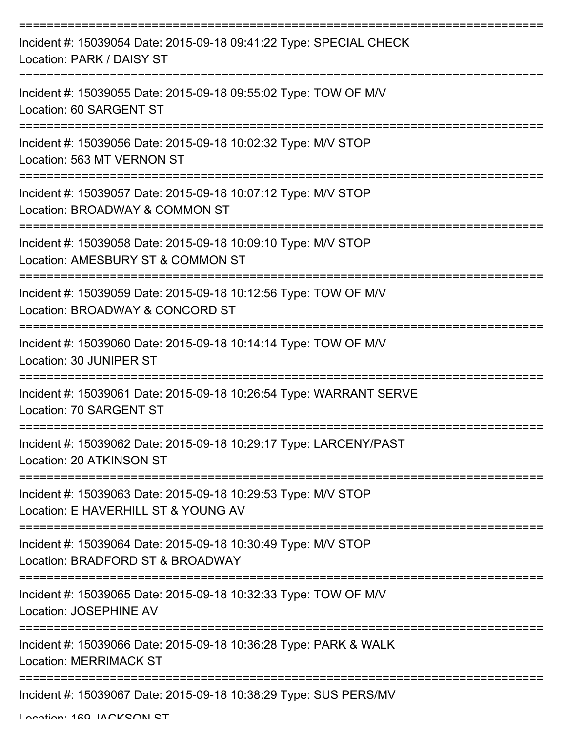| Incident #: 15039054 Date: 2015-09-18 09:41:22 Type: SPECIAL CHECK<br>Location: PARK / DAISY ST                                             |
|---------------------------------------------------------------------------------------------------------------------------------------------|
| Incident #: 15039055 Date: 2015-09-18 09:55:02 Type: TOW OF M/V<br>Location: 60 SARGENT ST                                                  |
| Incident #: 15039056 Date: 2015-09-18 10:02:32 Type: M/V STOP<br>Location: 563 MT VERNON ST                                                 |
| Incident #: 15039057 Date: 2015-09-18 10:07:12 Type: M/V STOP<br>Location: BROADWAY & COMMON ST                                             |
| Incident #: 15039058 Date: 2015-09-18 10:09:10 Type: M/V STOP<br>Location: AMESBURY ST & COMMON ST<br>===================================== |
| Incident #: 15039059 Date: 2015-09-18 10:12:56 Type: TOW OF M/V<br>Location: BROADWAY & CONCORD ST                                          |
| Incident #: 15039060 Date: 2015-09-18 10:14:14 Type: TOW OF M/V<br>Location: 30 JUNIPER ST                                                  |
| Incident #: 15039061 Date: 2015-09-18 10:26:54 Type: WARRANT SERVE<br>Location: 70 SARGENT ST                                               |
| Incident #: 15039062 Date: 2015-09-18 10:29:17 Type: LARCENY/PAST<br>Location: 20 ATKINSON ST                                               |
| Incident #: 15039063 Date: 2015-09-18 10:29:53 Type: M/V STOP<br>Location: E HAVERHILL ST & YOUNG AV                                        |
| Incident #: 15039064 Date: 2015-09-18 10:30:49 Type: M/V STOP<br>Location: BRADFORD ST & BROADWAY                                           |
| Incident #: 15039065 Date: 2015-09-18 10:32:33 Type: TOW OF M/V<br>Location: JOSEPHINE AV                                                   |
| Incident #: 15039066 Date: 2015-09-18 10:36:28 Type: PARK & WALK<br><b>Location: MERRIMACK ST</b>                                           |
| Incident #: 15039067 Date: 2015-09-18 10:38:29 Type: SUS PERS/MV                                                                            |

Location: 160 IACKSON ST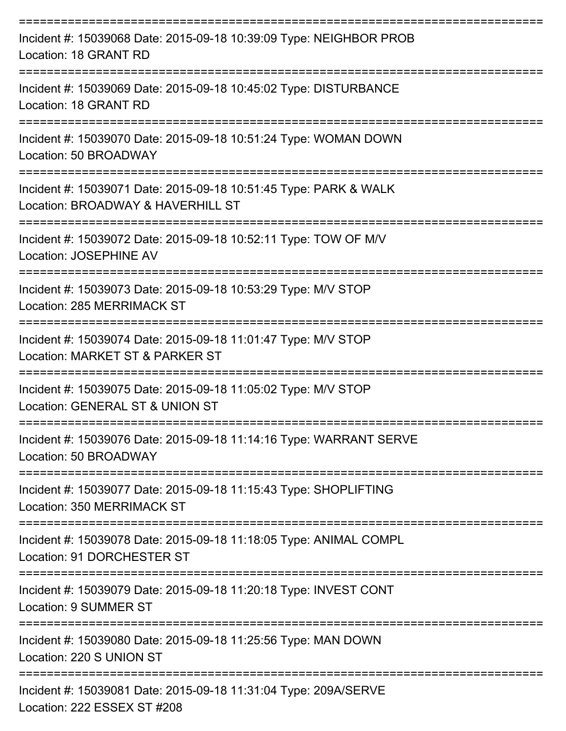| Incident #: 15039068 Date: 2015-09-18 10:39:09 Type: NEIGHBOR PROB<br>Location: 18 GRANT RD                               |
|---------------------------------------------------------------------------------------------------------------------------|
| Incident #: 15039069 Date: 2015-09-18 10:45:02 Type: DISTURBANCE<br>Location: 18 GRANT RD                                 |
| Incident #: 15039070 Date: 2015-09-18 10:51:24 Type: WOMAN DOWN<br>Location: 50 BROADWAY                                  |
| Incident #: 15039071 Date: 2015-09-18 10:51:45 Type: PARK & WALK<br>Location: BROADWAY & HAVERHILL ST                     |
| Incident #: 15039072 Date: 2015-09-18 10:52:11 Type: TOW OF M/V<br><b>Location: JOSEPHINE AV</b>                          |
| Incident #: 15039073 Date: 2015-09-18 10:53:29 Type: M/V STOP<br>Location: 285 MERRIMACK ST                               |
| Incident #: 15039074 Date: 2015-09-18 11:01:47 Type: M/V STOP<br>Location: MARKET ST & PARKER ST                          |
| Incident #: 15039075 Date: 2015-09-18 11:05:02 Type: M/V STOP<br>Location: GENERAL ST & UNION ST                          |
| Incident #: 15039076 Date: 2015-09-18 11:14:16 Type: WARRANT SERVE<br>Location: 50 BROADWAY                               |
| ----------------<br>Incident #: 15039077 Date: 2015-09-18 11:15:43 Type: SHOPLIFTING<br><b>Location: 350 MERRIMACK ST</b> |
| Incident #: 15039078 Date: 2015-09-18 11:18:05 Type: ANIMAL COMPL<br>Location: 91 DORCHESTER ST                           |
| Incident #: 15039079 Date: 2015-09-18 11:20:18 Type: INVEST CONT<br>Location: 9 SUMMER ST                                 |
| Incident #: 15039080 Date: 2015-09-18 11:25:56 Type: MAN DOWN<br>Location: 220 S UNION ST                                 |
| Incident #: 15039081 Date: 2015-09-18 11:31:04 Type: 209A/SERVE<br>Location: 222 ESSEX ST #208                            |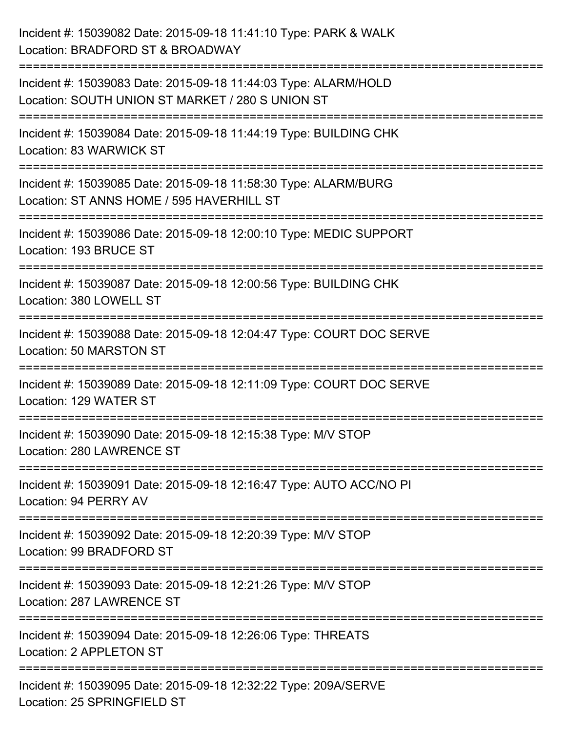| Incident #: 15039082 Date: 2015-09-18 11:41:10 Type: PARK & WALK<br>Location: BRADFORD ST & BROADWAY                                                                       |
|----------------------------------------------------------------------------------------------------------------------------------------------------------------------------|
| ========================<br>Incident #: 15039083 Date: 2015-09-18 11:44:03 Type: ALARM/HOLD<br>Location: SOUTH UNION ST MARKET / 280 S UNION ST                            |
| Incident #: 15039084 Date: 2015-09-18 11:44:19 Type: BUILDING CHK<br>Location: 83 WARWICK ST<br>;====================================<br>================================= |
| Incident #: 15039085 Date: 2015-09-18 11:58:30 Type: ALARM/BURG<br>Location: ST ANNS HOME / 595 HAVERHILL ST<br>===================                                        |
| Incident #: 15039086 Date: 2015-09-18 12:00:10 Type: MEDIC SUPPORT<br>Location: 193 BRUCE ST<br>=============================                                              |
| Incident #: 15039087 Date: 2015-09-18 12:00:56 Type: BUILDING CHK<br>Location: 380 LOWELL ST                                                                               |
| Incident #: 15039088 Date: 2015-09-18 12:04:47 Type: COURT DOC SERVE<br>Location: 50 MARSTON ST                                                                            |
| Incident #: 15039089 Date: 2015-09-18 12:11:09 Type: COURT DOC SERVE<br>Location: 129 WATER ST                                                                             |
| Incident #: 15039090 Date: 2015-09-18 12:15:38 Type: M/V STOP<br>Location: 280 LAWRENCE ST                                                                                 |
| Incident #: 15039091 Date: 2015-09-18 12:16:47 Type: AUTO ACC/NO PI<br>Location: 94 PERRY AV                                                                               |
| Incident #: 15039092 Date: 2015-09-18 12:20:39 Type: M/V STOP<br>Location: 99 BRADFORD ST                                                                                  |
| Incident #: 15039093 Date: 2015-09-18 12:21:26 Type: M/V STOP<br>Location: 287 LAWRENCE ST                                                                                 |
| Incident #: 15039094 Date: 2015-09-18 12:26:06 Type: THREATS<br>Location: 2 APPLETON ST                                                                                    |
| Incident #: 15039095 Date: 2015-09-18 12:32:22 Type: 209A/SERVE<br>Location: 25 SPRINGFIELD ST                                                                             |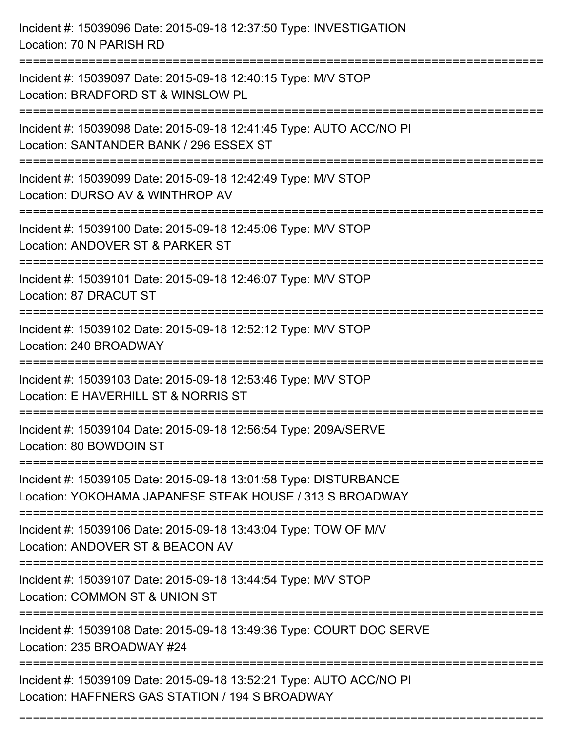Incident #: 15039096 Date: 2015-09-18 12:37:50 Type: INVESTIGATION Location: 70 N PARISH RD =========================================================================== Incident #: 15039097 Date: 2015-09-18 12:40:15 Type: M/V STOP Location: BRADFORD ST & WINSLOW PL =========================================================================== Incident #: 15039098 Date: 2015-09-18 12:41:45 Type: AUTO ACC/NO PI Location: SANTANDER BANK / 296 ESSEX ST =========================================================================== Incident #: 15039099 Date: 2015-09-18 12:42:49 Type: M/V STOP Location: DURSO AV & WINTHROP AV =========================================================================== Incident #: 15039100 Date: 2015-09-18 12:45:06 Type: M/V STOP Location: ANDOVER ST & PARKER ST =========================================================================== Incident #: 15039101 Date: 2015-09-18 12:46:07 Type: M/V STOP Location: 87 DRACUT ST =========================================================================== Incident #: 15039102 Date: 2015-09-18 12:52:12 Type: M/V STOP Location: 240 BROADWAY =========================================================================== Incident #: 15039103 Date: 2015-09-18 12:53:46 Type: M/V STOP Location: E HAVERHILL ST & NORRIS ST =========================================================================== Incident #: 15039104 Date: 2015-09-18 12:56:54 Type: 209A/SERVE Location: 80 BOWDOIN ST =========================================================================== Incident #: 15039105 Date: 2015-09-18 13:01:58 Type: DISTURBANCE Location: YOKOHAMA JAPANESE STEAK HOUSE / 313 S BROADWAY =========================================================================== Incident #: 15039106 Date: 2015-09-18 13:43:04 Type: TOW OF M/V Location: ANDOVER ST & BEACON AV =========================================================================== Incident #: 15039107 Date: 2015-09-18 13:44:54 Type: M/V STOP Location: COMMON ST & UNION ST =========================================================================== Incident #: 15039108 Date: 2015-09-18 13:49:36 Type: COURT DOC SERVE Location: 235 BROADWAY #24 =========================================================================== Incident #: 15039109 Date: 2015-09-18 13:52:21 Type: AUTO ACC/NO PI Location: HAFFNERS GAS STATION / 194 S BROADWAY

===========================================================================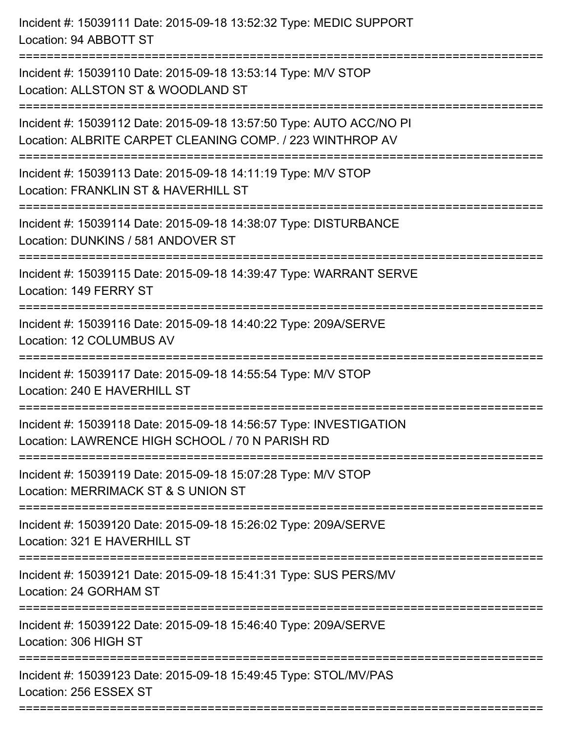| Incident #: 15039111 Date: 2015-09-18 13:52:32 Type: MEDIC SUPPORT<br>Location: 94 ABBOTT ST<br>==================               |
|----------------------------------------------------------------------------------------------------------------------------------|
| Incident #: 15039110 Date: 2015-09-18 13:53:14 Type: M/V STOP<br>Location: ALLSTON ST & WOODLAND ST                              |
| Incident #: 15039112 Date: 2015-09-18 13:57:50 Type: AUTO ACC/NO PI<br>Location: ALBRITE CARPET CLEANING COMP. / 223 WINTHROP AV |
| Incident #: 15039113 Date: 2015-09-18 14:11:19 Type: M/V STOP<br>Location: FRANKLIN ST & HAVERHILL ST                            |
| Incident #: 15039114 Date: 2015-09-18 14:38:07 Type: DISTURBANCE<br>Location: DUNKINS / 581 ANDOVER ST<br>:====================  |
| Incident #: 15039115 Date: 2015-09-18 14:39:47 Type: WARRANT SERVE<br>Location: 149 FERRY ST                                     |
| Incident #: 15039116 Date: 2015-09-18 14:40:22 Type: 209A/SERVE<br>Location: 12 COLUMBUS AV                                      |
| Incident #: 15039117 Date: 2015-09-18 14:55:54 Type: M/V STOP<br>Location: 240 E HAVERHILL ST                                    |
| Incident #: 15039118 Date: 2015-09-18 14:56:57 Type: INVESTIGATION<br>Location: LAWRENCE HIGH SCHOOL / 70 N PARISH RD            |
| Incident #: 15039119 Date: 2015-09-18 15:07:28 Type: M/V STOP<br>Location: MERRIMACK ST & S UNION ST                             |
| Incident #: 15039120 Date: 2015-09-18 15:26:02 Type: 209A/SERVE<br>Location: 321 E HAVERHILL ST                                  |
| Incident #: 15039121 Date: 2015-09-18 15:41:31 Type: SUS PERS/MV<br>Location: 24 GORHAM ST                                       |
| Incident #: 15039122 Date: 2015-09-18 15:46:40 Type: 209A/SERVE<br>Location: 306 HIGH ST                                         |
| Incident #: 15039123 Date: 2015-09-18 15:49:45 Type: STOL/MV/PAS<br>Location: 256 ESSEX ST                                       |
|                                                                                                                                  |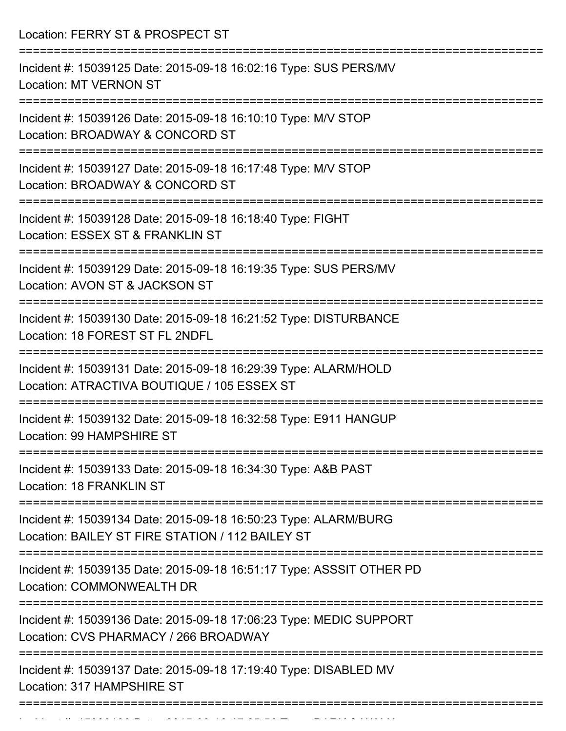| Location: FERRY ST & PROSPECT ST                                                                                               |
|--------------------------------------------------------------------------------------------------------------------------------|
| Incident #: 15039125 Date: 2015-09-18 16:02:16 Type: SUS PERS/MV<br><b>Location: MT VERNON ST</b>                              |
| Incident #: 15039126 Date: 2015-09-18 16:10:10 Type: M/V STOP<br>Location: BROADWAY & CONCORD ST<br>:========================= |
| Incident #: 15039127 Date: 2015-09-18 16:17:48 Type: M/V STOP<br>Location: BROADWAY & CONCORD ST                               |
| Incident #: 15039128 Date: 2015-09-18 16:18:40 Type: FIGHT<br>Location: ESSEX ST & FRANKLIN ST<br>:=========================   |
| Incident #: 15039129 Date: 2015-09-18 16:19:35 Type: SUS PERS/MV<br>Location: AVON ST & JACKSON ST                             |
| Incident #: 15039130 Date: 2015-09-18 16:21:52 Type: DISTURBANCE<br>Location: 18 FOREST ST FL 2NDFL                            |
| Incident #: 15039131 Date: 2015-09-18 16:29:39 Type: ALARM/HOLD<br>Location: ATRACTIVA BOUTIQUE / 105 ESSEX ST                 |
| Incident #: 15039132 Date: 2015-09-18 16:32:58 Type: E911 HANGUP<br>Location: 99 HAMPSHIRE ST                                  |
| Incident #: 15039133 Date: 2015-09-18 16:34:30 Type: A&B PAST<br>Location: 18 FRANKLIN ST                                      |
| Incident #: 15039134 Date: 2015-09-18 16:50:23 Type: ALARM/BURG<br>Location: BAILEY ST FIRE STATION / 112 BAILEY ST            |
| Incident #: 15039135 Date: 2015-09-18 16:51:17 Type: ASSSIT OTHER PD<br>Location: COMMONWEALTH DR                              |
| Incident #: 15039136 Date: 2015-09-18 17:06:23 Type: MEDIC SUPPORT<br>Location: CVS PHARMACY / 266 BROADWAY                    |
| Incident #: 15039137 Date: 2015-09-18 17:19:40 Type: DISABLED MV<br>Location: 317 HAMPSHIRE ST                                 |
|                                                                                                                                |

Incident #: 15039138 Date: 2015 09 18 17:25:56 Type: PARK & WALK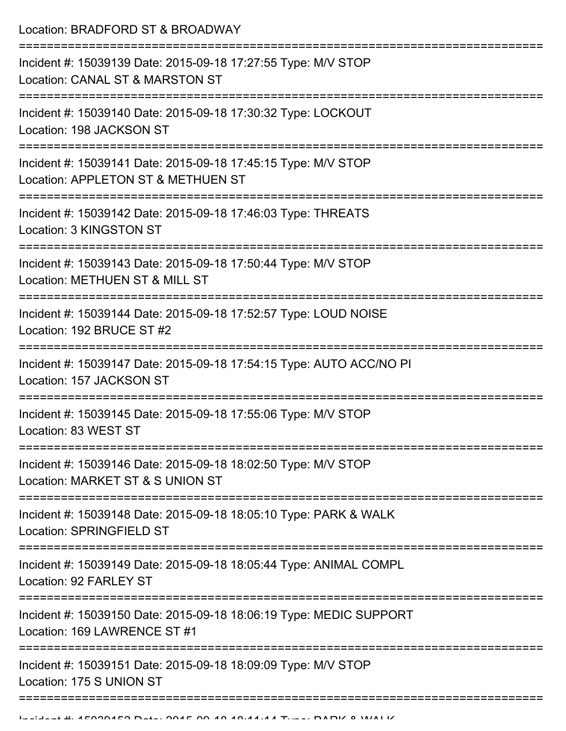Location: BRADFORD ST & BROADWAY

| Incident #: 15039139 Date: 2015-09-18 17:27:55 Type: M/V STOP<br>Location: CANAL ST & MARSTON ST<br>================           |
|--------------------------------------------------------------------------------------------------------------------------------|
| Incident #: 15039140 Date: 2015-09-18 17:30:32 Type: LOCKOUT<br>Location: 198 JACKSON ST<br>---------------------------------- |
| Incident #: 15039141 Date: 2015-09-18 17:45:15 Type: M/V STOP<br>Location: APPLETON ST & METHUEN ST                            |
| Incident #: 15039142 Date: 2015-09-18 17:46:03 Type: THREATS<br>Location: 3 KINGSTON ST                                        |
| Incident #: 15039143 Date: 2015-09-18 17:50:44 Type: M/V STOP<br>Location: METHUEN ST & MILL ST                                |
| Incident #: 15039144 Date: 2015-09-18 17:52:57 Type: LOUD NOISE<br>Location: 192 BRUCE ST #2                                   |
| Incident #: 15039147 Date: 2015-09-18 17:54:15 Type: AUTO ACC/NO PI<br>Location: 157 JACKSON ST                                |
| Incident #: 15039145 Date: 2015-09-18 17:55:06 Type: M/V STOP<br>Location: 83 WEST ST                                          |
| Incident #: 15039146 Date: 2015-09-18 18:02:50 Type: M/V STOP<br>Location: MARKET ST & S UNION ST                              |
| Incident #: 15039148 Date: 2015-09-18 18:05:10 Type: PARK & WALK<br>Location: SPRINGFIELD ST                                   |
| Incident #: 15039149 Date: 2015-09-18 18:05:44 Type: ANIMAL COMPL<br>Location: 92 FARLEY ST                                    |
| Incident #: 15039150 Date: 2015-09-18 18:06:19 Type: MEDIC SUPPORT<br>Location: 169 LAWRENCE ST #1                             |
| Incident #: 15039151 Date: 2015-09-18 18:09:09 Type: M/V STOP<br>Location: 175 S UNION ST                                      |
|                                                                                                                                |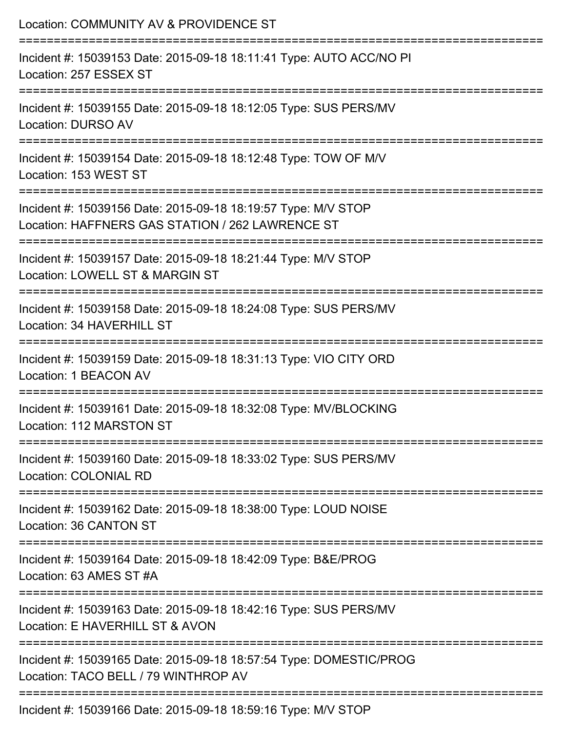| Location: COMMUNITY AV & PROVIDENCE ST                                                                                               |
|--------------------------------------------------------------------------------------------------------------------------------------|
| Incident #: 15039153 Date: 2015-09-18 18:11:41 Type: AUTO ACC/NO PI<br>Location: 257 ESSEX ST                                        |
| Incident #: 15039155 Date: 2015-09-18 18:12:05 Type: SUS PERS/MV<br><b>Location: DURSO AV</b>                                        |
| Incident #: 15039154 Date: 2015-09-18 18:12:48 Type: TOW OF M/V<br>Location: 153 WEST ST                                             |
| Incident #: 15039156 Date: 2015-09-18 18:19:57 Type: M/V STOP<br>Location: HAFFNERS GAS STATION / 262 LAWRENCE ST                    |
| Incident #: 15039157 Date: 2015-09-18 18:21:44 Type: M/V STOP<br>Location: LOWELL ST & MARGIN ST                                     |
| :==================================<br>Incident #: 15039158 Date: 2015-09-18 18:24:08 Type: SUS PERS/MV<br>Location: 34 HAVERHILL ST |
| Incident #: 15039159 Date: 2015-09-18 18:31:13 Type: VIO CITY ORD<br>Location: 1 BEACON AV                                           |
| Incident #: 15039161 Date: 2015-09-18 18:32:08 Type: MV/BLOCKING<br>Location: 112 MARSTON ST                                         |
| Incident #: 15039160 Date: 2015-09-18 18:33:02 Type: SUS PERS/MV<br>Location: COLONIAL RD                                            |
| Incident #: 15039162 Date: 2015-09-18 18:38:00 Type: LOUD NOISE<br>Location: 36 CANTON ST                                            |
| Incident #: 15039164 Date: 2015-09-18 18:42:09 Type: B&E/PROG<br>Location: 63 AMES ST #A                                             |
| Incident #: 15039163 Date: 2015-09-18 18:42:16 Type: SUS PERS/MV<br>Location: E HAVERHILL ST & AVON                                  |
| Incident #: 15039165 Date: 2015-09-18 18:57:54 Type: DOMESTIC/PROG<br>Location: TACO BELL / 79 WINTHROP AV                           |
| Incident #: 15039166 Date: 2015-09-18 18:59:16 Type: M/V STOP                                                                        |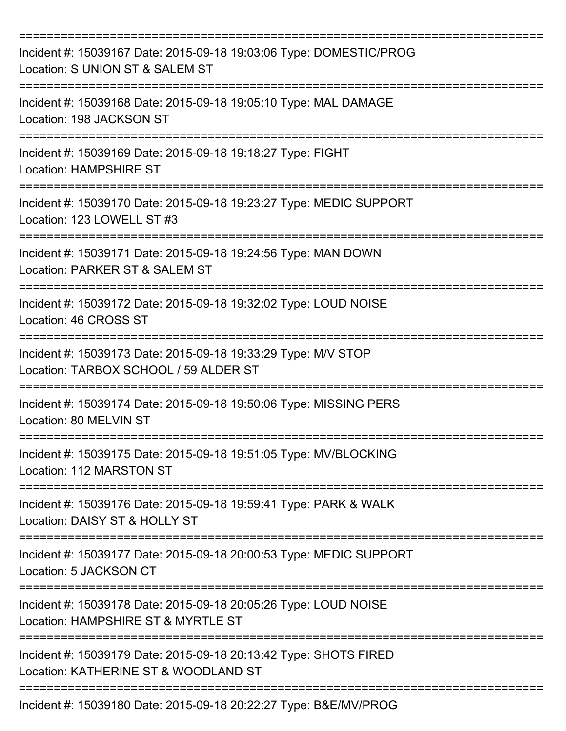| Incident #: 15039167 Date: 2015-09-18 19:03:06 Type: DOMESTIC/PROG<br>Location: S UNION ST & SALEM ST                             |
|-----------------------------------------------------------------------------------------------------------------------------------|
| Incident #: 15039168 Date: 2015-09-18 19:05:10 Type: MAL DAMAGE<br>Location: 198 JACKSON ST                                       |
| Incident #: 15039169 Date: 2015-09-18 19:18:27 Type: FIGHT<br><b>Location: HAMPSHIRE ST</b>                                       |
| Incident #: 15039170 Date: 2015-09-18 19:23:27 Type: MEDIC SUPPORT<br>Location: 123 LOWELL ST #3                                  |
| Incident #: 15039171 Date: 2015-09-18 19:24:56 Type: MAN DOWN<br>Location: PARKER ST & SALEM ST                                   |
| Incident #: 15039172 Date: 2015-09-18 19:32:02 Type: LOUD NOISE<br>Location: 46 CROSS ST<br>------------------------------------- |
| Incident #: 15039173 Date: 2015-09-18 19:33:29 Type: M/V STOP<br>Location: TARBOX SCHOOL / 59 ALDER ST                            |
| Incident #: 15039174 Date: 2015-09-18 19:50:06 Type: MISSING PERS<br>Location: 80 MELVIN ST                                       |
| Incident #: 15039175 Date: 2015-09-18 19:51:05 Type: MV/BLOCKING<br>Location: 112 MARSTON ST                                      |
| Incident #: 15039176 Date: 2015-09-18 19:59:41 Type: PARK & WALK<br>Location: DAISY ST & HOLLY ST                                 |
| Incident #: 15039177 Date: 2015-09-18 20:00:53 Type: MEDIC SUPPORT<br>Location: 5 JACKSON CT                                      |
| Incident #: 15039178 Date: 2015-09-18 20:05:26 Type: LOUD NOISE<br>Location: HAMPSHIRE ST & MYRTLE ST                             |
| Incident #: 15039179 Date: 2015-09-18 20:13:42 Type: SHOTS FIRED<br>Location: KATHERINE ST & WOODLAND ST                          |
| Incident #: 15039180 Date: 2015-09-18 20:22:27 Type: B&E/MV/PROG                                                                  |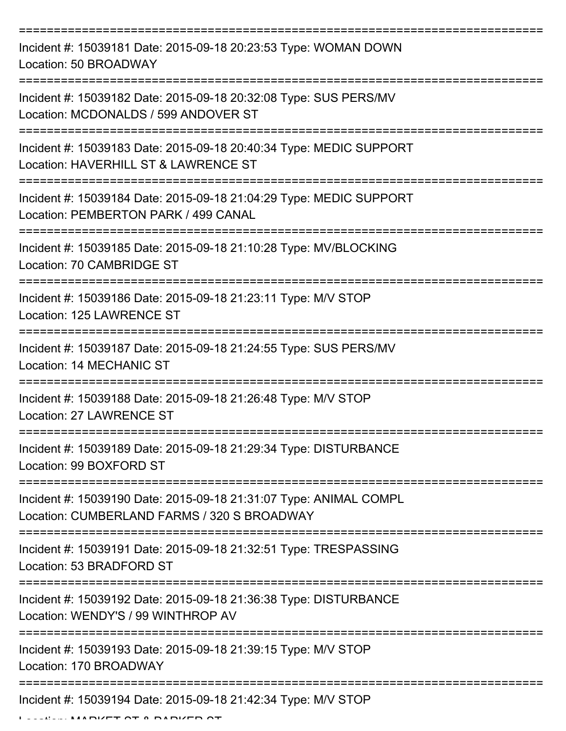| Incident #: 15039181 Date: 2015-09-18 20:23:53 Type: WOMAN DOWN<br>Location: 50 BROADWAY                         |
|------------------------------------------------------------------------------------------------------------------|
| Incident #: 15039182 Date: 2015-09-18 20:32:08 Type: SUS PERS/MV<br>Location: MCDONALDS / 599 ANDOVER ST         |
| Incident #: 15039183 Date: 2015-09-18 20:40:34 Type: MEDIC SUPPORT<br>Location: HAVERHILL ST & LAWRENCE ST       |
| Incident #: 15039184 Date: 2015-09-18 21:04:29 Type: MEDIC SUPPORT<br>Location: PEMBERTON PARK / 499 CANAL       |
| Incident #: 15039185 Date: 2015-09-18 21:10:28 Type: MV/BLOCKING<br>Location: 70 CAMBRIDGE ST                    |
| Incident #: 15039186 Date: 2015-09-18 21:23:11 Type: M/V STOP<br>Location: 125 LAWRENCE ST                       |
| Incident #: 15039187 Date: 2015-09-18 21:24:55 Type: SUS PERS/MV<br>Location: 14 MECHANIC ST                     |
| Incident #: 15039188 Date: 2015-09-18 21:26:48 Type: M/V STOP<br><b>Location: 27 LAWRENCE ST</b>                 |
| Incident #: 15039189 Date: 2015-09-18 21:29:34 Type: DISTURBANCE<br>Location: 99 BOXFORD ST                      |
| Incident #: 15039190 Date: 2015-09-18 21:31:07 Type: ANIMAL COMPL<br>Location: CUMBERLAND FARMS / 320 S BROADWAY |
| Incident #: 15039191 Date: 2015-09-18 21:32:51 Type: TRESPASSING<br>Location: 53 BRADFORD ST                     |
| Incident #: 15039192 Date: 2015-09-18 21:36:38 Type: DISTURBANCE<br>Location: WENDY'S / 99 WINTHROP AV           |
| Incident #: 15039193 Date: 2015-09-18 21:39:15 Type: M/V STOP<br>Location: 170 BROADWAY                          |
| Incident #: 15039194 Date: 2015-09-18 21:42:34 Type: M/V STOP                                                    |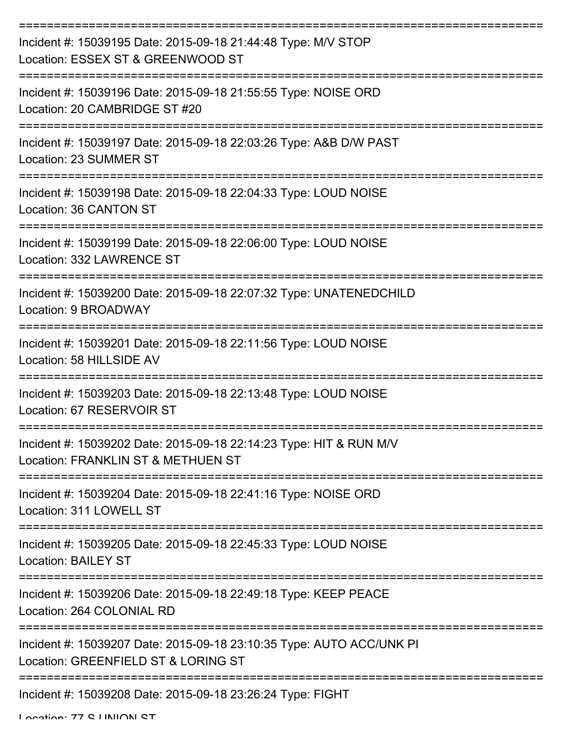| Incident #: 15039195 Date: 2015-09-18 21:44:48 Type: M/V STOP<br>Location: ESSEX ST & GREENWOOD ST          |
|-------------------------------------------------------------------------------------------------------------|
| Incident #: 15039196 Date: 2015-09-18 21:55:55 Type: NOISE ORD<br>Location: 20 CAMBRIDGE ST #20             |
| Incident #: 15039197 Date: 2015-09-18 22:03:26 Type: A&B D/W PAST<br>Location: 23 SUMMER ST                 |
| Incident #: 15039198 Date: 2015-09-18 22:04:33 Type: LOUD NOISE<br>Location: 36 CANTON ST                   |
| Incident #: 15039199 Date: 2015-09-18 22:06:00 Type: LOUD NOISE<br>Location: 332 LAWRENCE ST                |
| Incident #: 15039200 Date: 2015-09-18 22:07:32 Type: UNATENEDCHILD<br>Location: 9 BROADWAY                  |
| Incident #: 15039201 Date: 2015-09-18 22:11:56 Type: LOUD NOISE<br>Location: 58 HILLSIDE AV                 |
| Incident #: 15039203 Date: 2015-09-18 22:13:48 Type: LOUD NOISE<br>Location: 67 RESERVOIR ST                |
| Incident #: 15039202 Date: 2015-09-18 22:14:23 Type: HIT & RUN M/V<br>Location: FRANKLIN ST & METHUEN ST    |
| Incident #: 15039204 Date: 2015-09-18 22:41:16 Type: NOISE ORD<br>Location: 311 LOWELL ST                   |
| Incident #: 15039205 Date: 2015-09-18 22:45:33 Type: LOUD NOISE<br><b>Location: BAILEY ST</b>               |
| Incident #: 15039206 Date: 2015-09-18 22:49:18 Type: KEEP PEACE<br>Location: 264 COLONIAL RD                |
| Incident #: 15039207 Date: 2015-09-18 23:10:35 Type: AUTO ACC/UNK PI<br>Location: GREENFIELD ST & LORING ST |
| Incident #: 15039208 Date: 2015-09-18 23:26:24 Type: FIGHT                                                  |

Location: 77 C LINIION CT